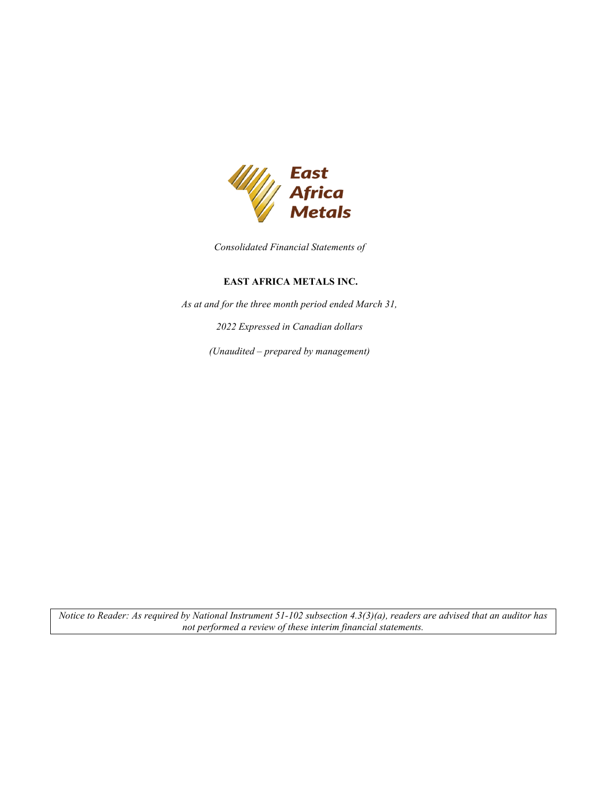

*Consolidated Financial Statements of* 

# **EAST AFRICA METALS INC.**

*As at and for the three month period ended March 31,* 

*2022 Expressed in Canadian dollars* 

*(Unaudited – prepared by management)*

*Notice to Reader: As required by National Instrument 51-102 subsection 4.3(3)(a), readers are advised that an auditor has not performed a review of these interim financial statements.*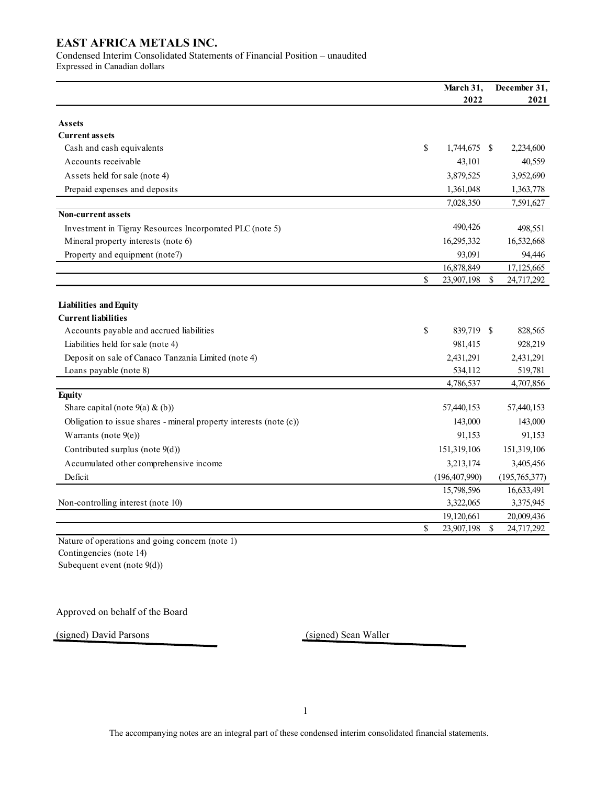Condensed Interim Consolidated Statements of Financial Position – unaudited

Expressed in Canadian dollars

|                                                                    | March 31,<br>2022  |             | December 31,<br>2021 |
|--------------------------------------------------------------------|--------------------|-------------|----------------------|
| <b>Assets</b>                                                      |                    |             |                      |
| <b>Current assets</b>                                              |                    |             |                      |
| Cash and cash equivalents                                          | \$<br>1,744,675 \$ |             | 2,234,600            |
| Accounts receivable                                                | 43,101             |             | 40,559               |
| Assets held for sale (note 4)                                      | 3,879,525          |             | 3,952,690            |
| Prepaid expenses and deposits                                      | 1,361,048          |             | 1,363,778            |
|                                                                    | 7,028,350          |             | 7,591,627            |
| <b>Non-current assets</b>                                          |                    |             |                      |
| Investment in Tigray Resources Incorporated PLC (note 5)           | 490,426            |             | 498,551              |
| Mineral property interests (note 6)                                | 16,295,332         |             | 16,532,668           |
| Property and equipment (note7)                                     | 93,091             |             | 94,446               |
|                                                                    | 16,878,849         |             | 17,125,665           |
|                                                                    | \$<br>23,907,198   | $\$$        | 24,717,292           |
| <b>Liabilities and Equity</b>                                      |                    |             |                      |
| <b>Current liabilities</b>                                         |                    |             |                      |
| Accounts payable and accrued liabilities                           | \$<br>839,719 \$   |             | 828,565              |
| Liabilities held for sale (note 4)                                 | 981,415            |             | 928,219              |
| Deposit on sale of Canaco Tanzania Limited (note 4)                | 2,431,291          |             | 2,431,291            |
| Loans payable (note 8)                                             | 534,112            |             | 519,781              |
|                                                                    | 4,786,537          |             | 4,707,856            |
| <b>Equity</b>                                                      |                    |             |                      |
| Share capital (note $9(a) \& (b)$ )                                | 57,440,153         |             | 57,440,153           |
| Obligation to issue shares - mineral property interests (note (c)) | 143,000            |             | 143,000              |
| Warrants (note $9(e)$ )                                            | 91,153             |             | 91,153               |
| Contributed surplus (note 9(d))                                    | 151,319,106        |             | 151,319,106          |
| Accumulated other comprehensive income                             | 3,213,174          |             | 3,405,456            |
| Deficit                                                            | (196, 407, 990)    |             | (195,765,377)        |
|                                                                    | 15,798,596         |             | 16,633,491           |
| Non-controlling interest (note 10)                                 | 3,322,065          |             | 3,375,945            |
|                                                                    | 19,120,661         |             | 20,009,436           |
| Nature of operations and aging someone $(n_0 + 1)$                 | \$<br>23,907,198   | $\mathbb S$ | 24,717,292           |

Nature of operations and going concern (note 1) Contingencies (note 14) Subequent event (note 9(d))

Approved on behalf of the Board

(signed) David Parsons (signed) Sean Waller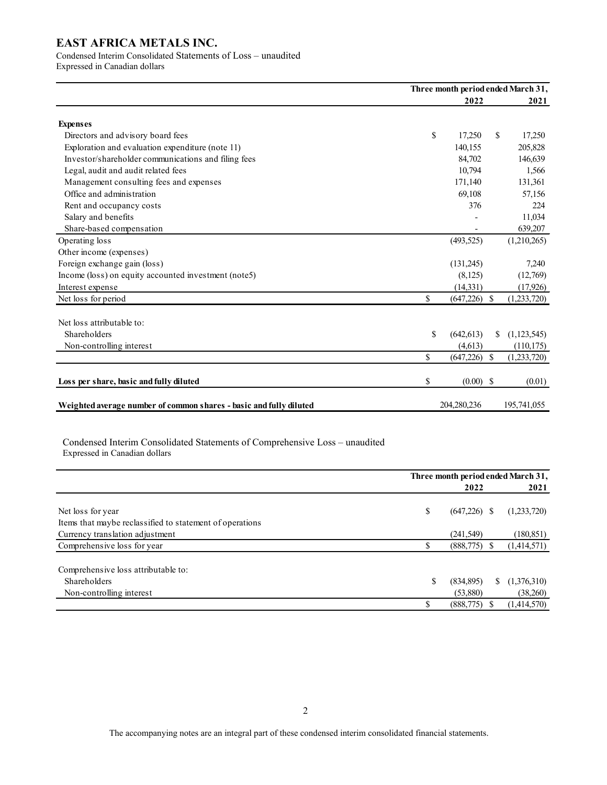# Condensed Interim Consolidated Statements of Loss – unaudited

Expressed in Canadian dollars

|                                                                    | Three month period ended March 31, |    |             |  |  |  |
|--------------------------------------------------------------------|------------------------------------|----|-------------|--|--|--|
|                                                                    | 2022                               |    | 2021        |  |  |  |
| <b>Expenses</b>                                                    |                                    |    |             |  |  |  |
| Directors and advisory board fees                                  | \$<br>17.250                       | \$ | 17,250      |  |  |  |
| Exploration and evaluation expenditure (note 11)                   | 140,155                            |    | 205,828     |  |  |  |
| Investor/shareholder communications and filing fees                | 84,702                             |    | 146,639     |  |  |  |
| Legal, audit and audit related fees                                | 10,794                             |    | 1,566       |  |  |  |
| Management consulting fees and expenses                            | 171,140                            |    | 131,361     |  |  |  |
| Office and administration                                          | 69,108                             |    | 57,156      |  |  |  |
| Rent and occupancy costs                                           | 376                                |    | 224         |  |  |  |
| Salary and benefits                                                |                                    |    | 11,034      |  |  |  |
| Share-based compensation                                           |                                    |    | 639,207     |  |  |  |
| Operating loss                                                     | (493, 525)                         |    | (1,210,265) |  |  |  |
| Other income (expenses)                                            |                                    |    |             |  |  |  |
| Foreign exchange gain (loss)                                       | (131,245)                          |    | 7,240       |  |  |  |
| Income (loss) on equity accounted investment (note5)               | (8,125)                            |    | (12,769)    |  |  |  |
| Interest expense                                                   | (14, 331)                          |    | (17, 926)   |  |  |  |
| Net loss for period                                                | \$<br>$(647,226)$ \$               |    | (1,233,720) |  |  |  |
| Net loss attributable to:                                          |                                    |    |             |  |  |  |
| Shareholders                                                       | \$<br>(642, 613)                   | \$ | (1,123,545) |  |  |  |
| Non-controlling interest                                           | (4,613)                            |    | (110, 175)  |  |  |  |
|                                                                    | \$<br>$(647,226)$ \$               |    | (1,233,720) |  |  |  |
| Loss per share, basic and fully diluted                            | \$<br>$(0.00)$ \$                  |    | (0.01)      |  |  |  |
| Weighted average number of common shares - basic and fully diluted | 204.280.236                        |    | 195,741,055 |  |  |  |

Condensed Interim Consolidated Statements of Comprehensive Loss – unaudited Expressed in Canadian dollars

|                                                          |    | Three month period ended March 31, |   |             |  |  |  |  |
|----------------------------------------------------------|----|------------------------------------|---|-------------|--|--|--|--|
|                                                          |    | 2022                               |   | 2021        |  |  |  |  |
| Net loss for year                                        | \$ | $(647,226)$ \$                     |   | (1,233,720) |  |  |  |  |
| Items that maybe reclassified to statement of operations |    |                                    |   |             |  |  |  |  |
| Currency translation adjustment                          |    | (241, 549)                         |   | (180, 851)  |  |  |  |  |
| Comprehensive loss for year                              |    | (888, 775)                         |   | (1,414,571) |  |  |  |  |
| Comprehensive loss attributable to:                      |    |                                    |   |             |  |  |  |  |
| Shareholders                                             | S  | (834,895)                          | S | (1,376,310) |  |  |  |  |
| Non-controlling interest                                 |    | (53,880)                           |   | (38,260)    |  |  |  |  |
|                                                          |    | (888, 775)                         |   | (1,414,570) |  |  |  |  |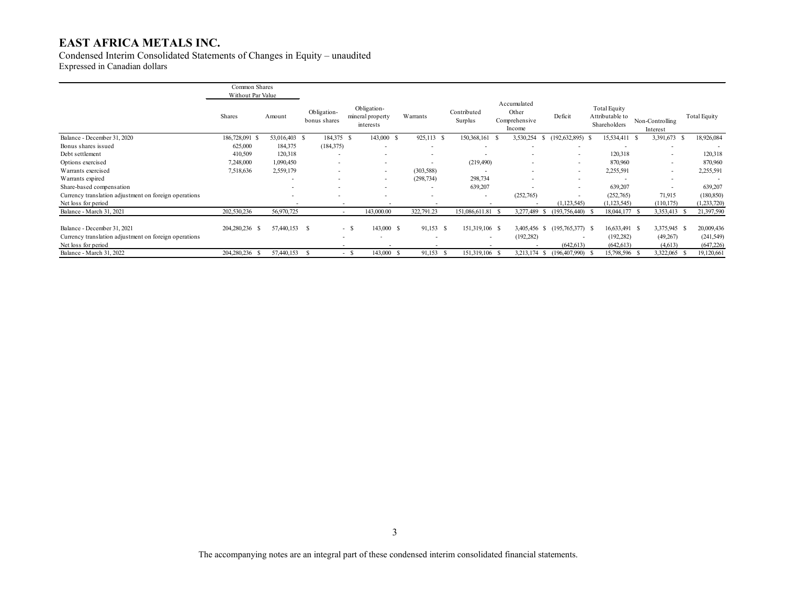Condensed Interim Consolidated Statements of Changes in Equity – unaudited Expressed in Canadian dollars

|                                                       | Common Shares<br>Without Par Value |               |                             |                                              |                          |                        |                                                 |                          |                                                        |                             |                          |
|-------------------------------------------------------|------------------------------------|---------------|-----------------------------|----------------------------------------------|--------------------------|------------------------|-------------------------------------------------|--------------------------|--------------------------------------------------------|-----------------------------|--------------------------|
|                                                       | Shares                             | Amount        | Obligation-<br>bonus shares | Obligation-<br>mineral property<br>interests | Warrants                 | Contributed<br>Surplus | Accumulated<br>Other<br>Comprehensive<br>Income | Deficit                  | <b>Total Equity</b><br>Attributable to<br>Shareholders | Non-Controlling<br>Interest | <b>Total Equity</b>      |
| Balance - December 31, 2020                           | 186,728,091 \$                     | 53,016,403 \$ | 184,375 \$                  | 143,000 \$                                   | 925,113<br>-8            | 150,368,161            | 3,530,254<br>ъ<br>- 20                          | (192, 632, 895)          | 15,534,411 \$                                          | 3,391,673                   | 18,926,084               |
| Bonus shares issued                                   | 625,000                            | 184,375       | (184, 375)                  | ٠                                            |                          |                        |                                                 |                          |                                                        |                             | $\overline{\phantom{a}}$ |
| Debt settlement                                       | 410,509                            | 120,318       | $\overline{\phantom{a}}$    | $\overline{\phantom{a}}$                     |                          |                        | ۰                                               | $\overline{\phantom{a}}$ | 120,318                                                |                             | 120,318                  |
| Options exercised                                     | 7,248,000                          | 1,090,450     | $\overline{\phantom{a}}$    | $\overline{\phantom{a}}$                     |                          | (219, 490)             | ۰                                               | $\overline{\phantom{a}}$ | 870,960                                                |                             | 870,960                  |
| Warrants exercised                                    | 7,518,636                          | 2,559,179     | $\overline{\phantom{a}}$    | $\overline{\phantom{a}}$                     | (303, 588)               |                        | ۰                                               | $\overline{\phantom{a}}$ | 2,255,591                                              |                             | 2,255,591                |
| Warrants expired                                      |                                    | . .           | $\overline{\phantom{a}}$    | $\overline{\phantom{a}}$                     | (298, 734)               | 298,734                | ۰                                               | $\overline{\phantom{a}}$ |                                                        |                             | $\overline{\phantom{a}}$ |
| Share-based compensation                              |                                    |               | $\overline{\phantom{a}}$    | $\overline{\phantom{a}}$                     |                          | 639,207                | ٠                                               | $\overline{\phantom{a}}$ | 639,207                                                |                             | 639,207                  |
| Currency translation adjustment on foreign operations |                                    |               |                             |                                              |                          | ۰                      | (252,765)                                       | $\overline{\phantom{a}}$ | (252,765)                                              | 71,915                      | (180, 850)               |
| Net loss for period                                   |                                    |               |                             |                                              | ٠                        |                        |                                                 | (1, 123, 545)            | (1, 123, 545)                                          | (110, 175)                  | (1,233,720)              |
| Balance - March 31, 2021                              | 202,530,236                        | 56,970,725    |                             | 143,000.00                                   | 322,791.23               | 151,086,611.81         | 3,277,489<br>S.                                 | $(193,756,440)$ \$       | 18,044,177 \$                                          | 3,353,413                   | 21,397,590               |
| Balance - December 31, 2021                           | 204,280,236 \$                     | 57,440,153 \$ |                             | 143,000 \$<br>$-$ \$                         | 91,153<br>-S             | 151,319,106 \$         | 3,405,456 \$                                    | $(195,765,377)$ \$       | 16,633,491 \$                                          | 3,375,945 \$                | 20,009,436               |
| Currency translation adjustment on foreign operations |                                    |               |                             |                                              | $\overline{\phantom{a}}$ | ۰                      | (192, 282)                                      | ۰.                       | (192, 282)                                             | (49,267)                    | (241, 549)               |
| Net loss for period                                   |                                    |               |                             |                                              |                          |                        |                                                 | (642, 613)               | (642, 613)                                             | (4,613)                     | (647, 226)               |
| Balance - March 31, 2022                              | 204,280,236<br>- S                 | 57,440,153    |                             | 143,000<br>- \$                              | 91,153<br>- 5            | 151,319,106            | 3,213,174 \$<br>- \$                            | $(196,407,990)$ \$       | 15,798,596 \$                                          | 3,322,065                   | 19,120,661               |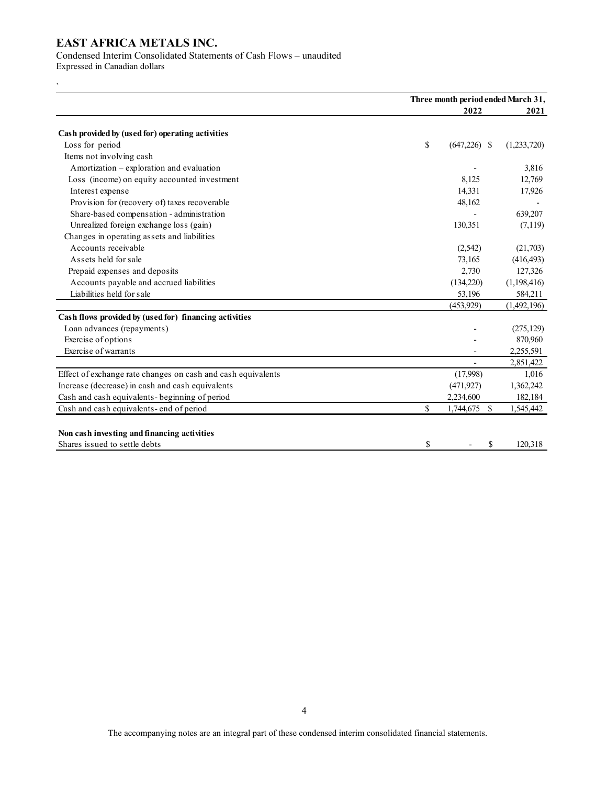Condensed Interim Consolidated Statements of Cash Flows – unaudited

Expressed in Canadian dollars

`

|                                                              | Three month period ended March 31, |             |  |  |  |
|--------------------------------------------------------------|------------------------------------|-------------|--|--|--|
|                                                              | 2022                               | 2021        |  |  |  |
| Cash provided by (used for) operating activities             |                                    |             |  |  |  |
| Loss for period                                              | \$<br>$(647,226)$ \$               | (1,233,720) |  |  |  |
| Items not involving cash                                     |                                    |             |  |  |  |
| Amortization - exploration and evaluation                    |                                    | 3,816       |  |  |  |
| Loss (income) on equity accounted investment                 | 8,125                              | 12,769      |  |  |  |
| Interest expense                                             | 14,331                             | 17,926      |  |  |  |
| Provision for (recovery of) taxes recoverable                | 48,162                             |             |  |  |  |
| Share-based compensation - administration                    |                                    | 639,207     |  |  |  |
| Unrealized foreign exchange loss (gain)                      | 130,351                            | (7,119)     |  |  |  |
| Changes in operating assets and liabilities                  |                                    |             |  |  |  |
| Accounts receivable                                          | (2,542)                            | (21,703)    |  |  |  |
| Assets held for sale                                         | 73,165                             | (416, 493)  |  |  |  |
| Prepaid expenses and deposits                                | 2,730                              | 127,326     |  |  |  |
| Accounts payable and accrued liabilities                     | (134,220)                          | (1,198,416) |  |  |  |
| Liabilities held for sale                                    | 53,196                             | 584,211     |  |  |  |
|                                                              | (453, 929)                         | (1,492,196) |  |  |  |
| Cash flows provided by (used for) financing activities       |                                    |             |  |  |  |
| Loan advances (repayments)                                   |                                    | (275, 129)  |  |  |  |
| Exercise of options                                          |                                    | 870,960     |  |  |  |
| Exercise of warrants                                         |                                    | 2,255,591   |  |  |  |
|                                                              |                                    | 2,851,422   |  |  |  |
| Effect of exchange rate changes on cash and cash equivalents | (17,998)                           | 1,016       |  |  |  |
| Increase (decrease) in cash and cash equivalents             | (471, 927)                         | 1,362,242   |  |  |  |
| Cash and cash equivalents-beginning of period                | 2,234,600                          | 182,184     |  |  |  |
| Cash and cash equivalents-end of period                      | \$<br>1,744,675 \$                 | 1,545,442   |  |  |  |
|                                                              |                                    |             |  |  |  |
| Non cash investing and financing activities                  |                                    |             |  |  |  |
| Shares issued to settle debts                                | \$<br>\$                           | 120,318     |  |  |  |

The accompanying notes are an integral part of these condensed interim consolidated financial statements.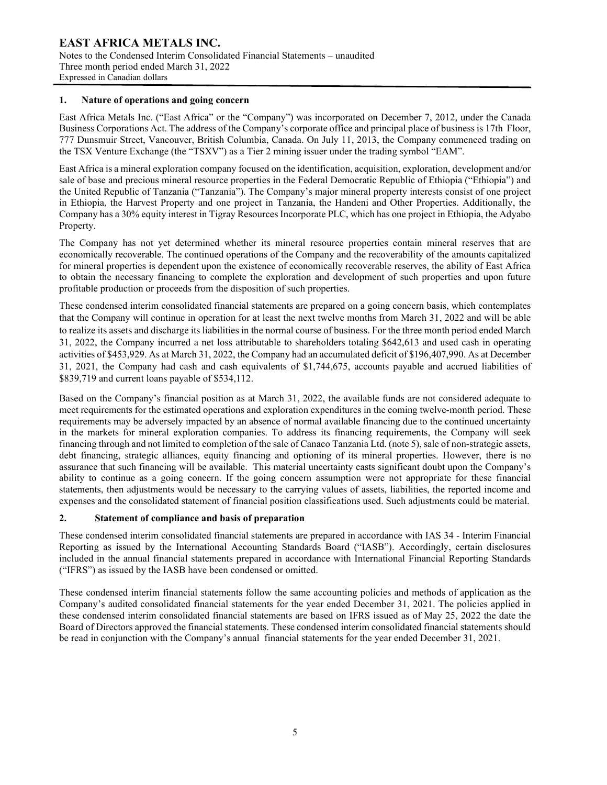#### **1. Nature of operations and going concern**

East Africa Metals Inc. ("East Africa" or the "Company") was incorporated on December 7, 2012, under the Canada Business Corporations Act. The address of the Company's corporate office and principal place of business is 17th Floor, 777 Dunsmuir Street, Vancouver, British Columbia, Canada. On July 11, 2013, the Company commenced trading on the TSX Venture Exchange (the "TSXV") as a Tier 2 mining issuer under the trading symbol "EAM".

East Africa is a mineral exploration company focused on the identification, acquisition, exploration, development and/or sale of base and precious mineral resource properties in the Federal Democratic Republic of Ethiopia ("Ethiopia") and the United Republic of Tanzania ("Tanzania"). The Company's major mineral property interests consist of one project in Ethiopia, the Harvest Property and one project in Tanzania, the Handeni and Other Properties. Additionally, the Company has a 30% equity interest in Tigray Resources Incorporate PLC, which has one project in Ethiopia, the Adyabo Property.

The Company has not yet determined whether its mineral resource properties contain mineral reserves that are economically recoverable. The continued operations of the Company and the recoverability of the amounts capitalized for mineral properties is dependent upon the existence of economically recoverable reserves, the ability of East Africa to obtain the necessary financing to complete the exploration and development of such properties and upon future profitable production or proceeds from the disposition of such properties.

These condensed interim consolidated financial statements are prepared on a going concern basis, which contemplates that the Company will continue in operation for at least the next twelve months from March 31, 2022 and will be able to realize its assets and discharge its liabilities in the normal course of business. For the three month period ended March 31, 2022, the Company incurred a net loss attributable to shareholders totaling \$642,613 and used cash in operating activities of \$453,929. As at March 31, 2022, the Company had an accumulated deficit of \$196,407,990. As at December 31, 2021, the Company had cash and cash equivalents of \$1,744,675, accounts payable and accrued liabilities of \$839,719 and current loans payable of \$534,112.

Based on the Company's financial position as at March 31, 2022, the available funds are not considered adequate to meet requirements for the estimated operations and exploration expenditures in the coming twelve-month period. These requirements may be adversely impacted by an absence of normal available financing due to the continued uncertainty in the markets for mineral exploration companies. To address its financing requirements, the Company will seek financing through and not limited to completion of the sale of Canaco Tanzania Ltd. (note 5), sale of non-strategic assets, debt financing, strategic alliances, equity financing and optioning of its mineral properties. However, there is no assurance that such financing will be available. This material uncertainty casts significant doubt upon the Company's ability to continue as a going concern. If the going concern assumption were not appropriate for these financial statements, then adjustments would be necessary to the carrying values of assets, liabilities, the reported income and expenses and the consolidated statement of financial position classifications used. Such adjustments could be material.

### **2. Statement of compliance and basis of preparation**

These condensed interim consolidated financial statements are prepared in accordance with IAS 34 - Interim Financial Reporting as issued by the International Accounting Standards Board ("IASB"). Accordingly, certain disclosures included in the annual financial statements prepared in accordance with International Financial Reporting Standards ("IFRS") as issued by the IASB have been condensed or omitted.

These condensed interim financial statements follow the same accounting policies and methods of application as the Company's audited consolidated financial statements for the year ended December 31, 2021. The policies applied in these condensed interim consolidated financial statements are based on IFRS issued as of May 25, 2022 the date the Board of Directors approved the financial statements. These condensed interim consolidated financial statements should be read in conjunction with the Company's annual financial statements for the year ended December 31, 2021.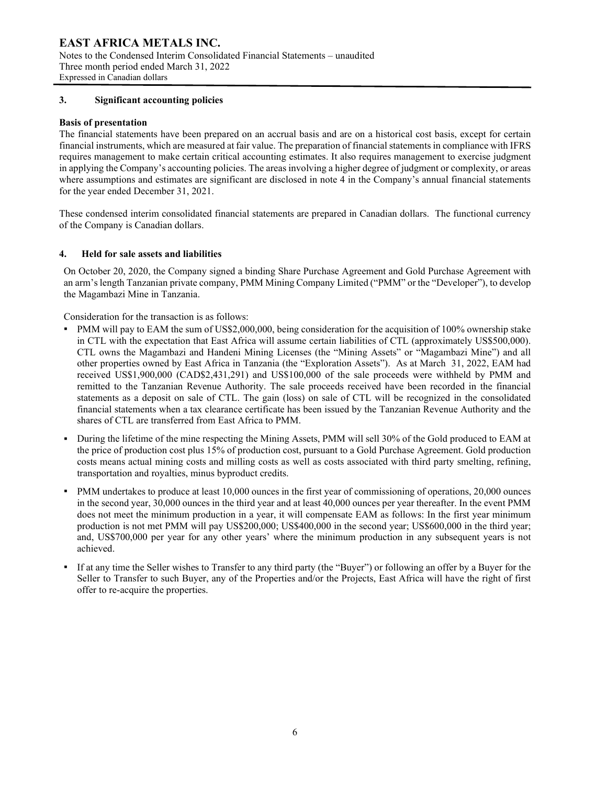## **3. Significant accounting policies**

## **Basis of presentation**

The financial statements have been prepared on an accrual basis and are on a historical cost basis, except for certain financial instruments, which are measured at fair value. The preparation of financial statements in compliance with IFRS requires management to make certain critical accounting estimates. It also requires management to exercise judgment in applying the Company's accounting policies. The areas involving a higher degree of judgment or complexity, or areas where assumptions and estimates are significant are disclosed in note 4 in the Company's annual financial statements for the year ended December 31, 2021.

These condensed interim consolidated financial statements are prepared in Canadian dollars. The functional currency of the Company is Canadian dollars.

## **4. Held for sale assets and liabilities**

On October 20, 2020, the Company signed a binding Share Purchase Agreement and Gold Purchase Agreement with an arm's length Tanzanian private company, PMM Mining Company Limited ("PMM" or the "Developer"), to develop the Magambazi Mine in Tanzania.

Consideration for the transaction is as follows:

- PMM will pay to EAM the sum of US\$2,000,000, being consideration for the acquisition of 100% ownership stake in CTL with the expectation that East Africa will assume certain liabilities of CTL (approximately US\$500,000). CTL owns the Magambazi and Handeni Mining Licenses (the "Mining Assets" or "Magambazi Mine") and all other properties owned by East Africa in Tanzania (the "Exploration Assets"). As at March 31, 2022, EAM had received US\$1,900,000 (CAD\$2,431,291) and US\$100,000 of the sale proceeds were withheld by PMM and remitted to the Tanzanian Revenue Authority. The sale proceeds received have been recorded in the financial statements as a deposit on sale of CTL. The gain (loss) on sale of CTL will be recognized in the consolidated financial statements when a tax clearance certificate has been issued by the Tanzanian Revenue Authority and the shares of CTL are transferred from East Africa to PMM.
- During the lifetime of the mine respecting the Mining Assets, PMM will sell 30% of the Gold produced to EAM at the price of production cost plus 15% of production cost, pursuant to a Gold Purchase Agreement. Gold production costs means actual mining costs and milling costs as well as costs associated with third party smelting, refining, transportation and royalties, minus byproduct credits.
- PMM undertakes to produce at least 10,000 ounces in the first year of commissioning of operations, 20,000 ounces in the second year, 30,000 ounces in the third year and at least 40,000 ounces per year thereafter. In the event PMM does not meet the minimum production in a year, it will compensate EAM as follows: In the first year minimum production is not met PMM will pay US\$200,000; US\$400,000 in the second year; US\$600,000 in the third year; and, US\$700,000 per year for any other years' where the minimum production in any subsequent years is not achieved.
- If at any time the Seller wishes to Transfer to any third party (the "Buyer") or following an offer by a Buyer for the Seller to Transfer to such Buyer, any of the Properties and/or the Projects, East Africa will have the right of first offer to re-acquire the properties.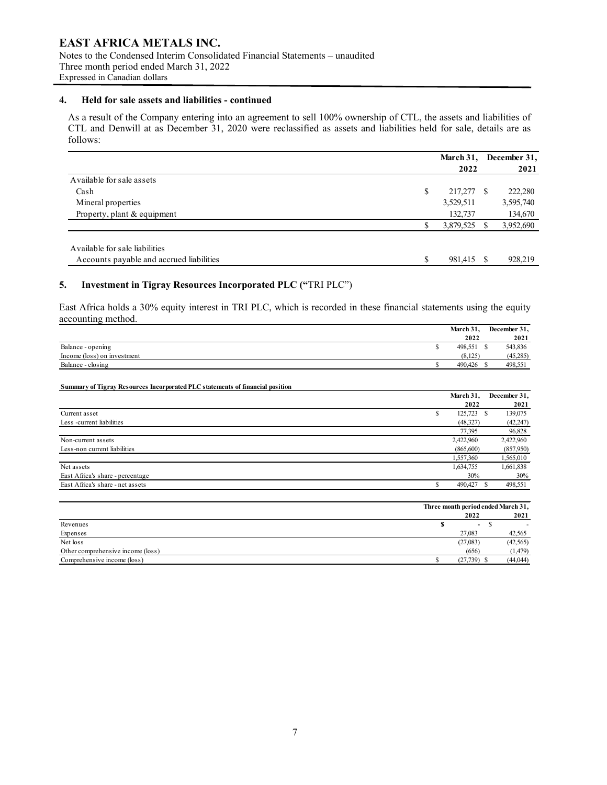Notes to the Condensed Interim Consolidated Financial Statements – unaudited Three month period ended March 31, 2022 Expressed in Canadian dollars

#### **4. Held for sale assets and liabilities - continued**

As a result of the Company entering into an agreement to sell 100% ownership of CTL, the assets and liabilities of CTL and Denwill at as December 31, 2020 were reclassified as assets and liabilities held for sale, details are as follows:

|                                          | March 31, |    | December 31, |
|------------------------------------------|-----------|----|--------------|
|                                          | 2022      |    | 2021         |
| Available for sale assets                |           |    |              |
| Cash                                     | 217,277   | -S | 222,280      |
| Mineral properties                       | 3,529,511 |    | 3,595,740    |
| Property, plant & equipment              | 132,737   |    | 134,670      |
|                                          | 3,879,525 |    | 3,952,690    |
| Available for sale liabilities           |           |    |              |
| Accounts payable and accrued liabilities | 981,415   |    | 928,219      |

# **5. Investment in Tigray Resources Incorporated PLC ("**TRI PLC")

East Africa holds a 30% equity interest in TRI PLC, which is recorded in these financial statements using the equity accounting method.

|                             | March 31, | December 31, |
|-----------------------------|-----------|--------------|
|                             | 2022      | 2021         |
| Balance - opening           | 498,551   | 543,836      |
| Income (loss) on investment | (8.125)   | (45,285)     |
| Balance - closing           | 490,426   | 498,551      |

#### **Summary of Tigray Resources Incorporated PLC statements of financial position**

|                                  |    | March 31.  | December 31, |
|----------------------------------|----|------------|--------------|
|                                  |    | 2022       | 2021         |
| Current asset                    | ۰ъ | 125,723 \$ | 139,075      |
| Less -current liabilities        |    | (48,327)   | (42, 247)    |
|                                  |    | 77,395     | 96,828       |
| Non-current assets               |    | 2,422,960  | 2,422,960    |
| Less-non current liabilities     |    | (865,600)  | (857,950)    |
|                                  |    | 1,557,360  | 1,565,010    |
| Net assets                       |    | 1,634,755  | 1,661,838    |
| East Africa's share - percentage |    | 30%        | 30%          |
| East Africa's share - net assets |    | 490,427    | 498,551      |

|                                   | Three month period ended March 31, |  |           |  |
|-----------------------------------|------------------------------------|--|-----------|--|
|                                   | 2022                               |  | 2021      |  |
| Revenues                          | $\sim$                             |  |           |  |
| Expenses                          | 27,083                             |  | 42,565    |  |
| Net loss                          | (27,083)                           |  | (42, 565) |  |
| Other comprehensive income (loss) | (656)                              |  | (1, 479)  |  |
| Comprehensive income (loss)       | $(27, 739)$ \$                     |  | (44, 044) |  |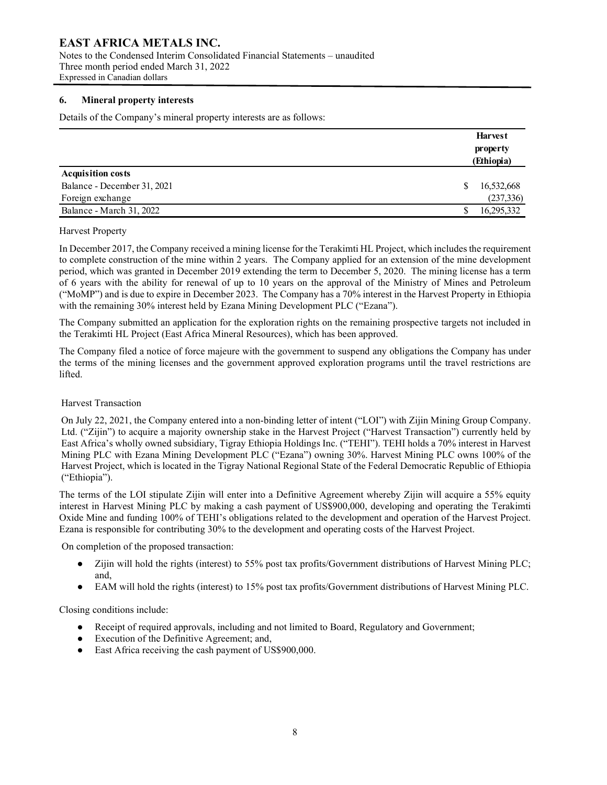Notes to the Condensed Interim Consolidated Financial Statements – unaudited Three month period ended March 31, 2022 Expressed in Canadian dollars

# **6. Mineral property interests**

Details of the Company's mineral property interests are as follows:

|                             |   | <b>Harvest</b><br>property<br>(Ethiopia) |
|-----------------------------|---|------------------------------------------|
| <b>Acquisition costs</b>    |   |                                          |
| Balance - December 31, 2021 | S | 16,532,668                               |
| Foreign exchange            |   | (237, 336)                               |
| Balance - March 31, 2022    |   | 16,295,332                               |

#### Harvest Property

In December 2017, the Company received a mining license for the Terakimti HL Project, which includes the requirement to complete construction of the mine within 2 years. The Company applied for an extension of the mine development period, which was granted in December 2019 extending the term to December 5, 2020. The mining license has a term of 6 years with the ability for renewal of up to 10 years on the approval of the Ministry of Mines and Petroleum ("MoMP") and is due to expire in December 2023. The Company has a 70% interest in the Harvest Property in Ethiopia with the remaining 30% interest held by Ezana Mining Development PLC ("Ezana").

The Company submitted an application for the exploration rights on the remaining prospective targets not included in the Terakimti HL Project (East Africa Mineral Resources), which has been approved.

The Company filed a notice of force majeure with the government to suspend any obligations the Company has under the terms of the mining licenses and the government approved exploration programs until the travel restrictions are lifted.

#### Harvest Transaction

On July 22, 2021, the Company entered into a non-binding letter of intent ("LOI") with Zijin Mining Group Company. Ltd. ("Zijin") to acquire a majority ownership stake in the Harvest Project ("Harvest Transaction") currently held by East Africa's wholly owned subsidiary, Tigray Ethiopia Holdings Inc. ("TEHI"). TEHI holds a 70% interest in Harvest Mining PLC with Ezana Mining Development PLC ("Ezana") owning 30%. Harvest Mining PLC owns 100% of the Harvest Project, which is located in the Tigray National Regional State of the Federal Democratic Republic of Ethiopia ("Ethiopia").

The terms of the LOI stipulate Zijin will enter into a Definitive Agreement whereby Zijin will acquire a 55% equity interest in Harvest Mining PLC by making a cash payment of US\$900,000, developing and operating the Terakimti Oxide Mine and funding 100% of TEHI's obligations related to the development and operation of the Harvest Project. Ezana is responsible for contributing 30% to the development and operating costs of the Harvest Project.

On completion of the proposed transaction:

- Zijin will hold the rights (interest) to 55% post tax profits/Government distributions of Harvest Mining PLC; and,
- EAM will hold the rights (interest) to 15% post tax profits/Government distributions of Harvest Mining PLC.

Closing conditions include:

- Receipt of required approvals, including and not limited to Board, Regulatory and Government;
- Execution of the Definitive Agreement; and,
- East Africa receiving the cash payment of US\$900,000.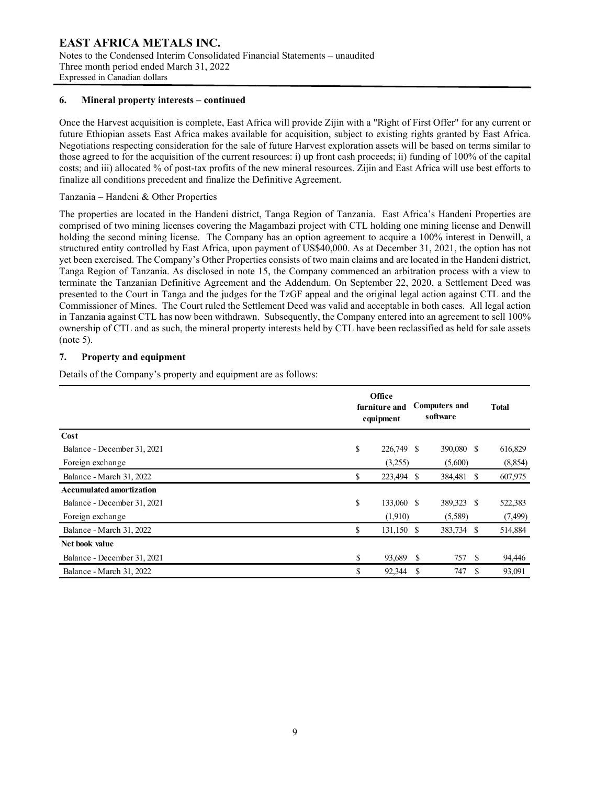#### **6. Mineral property interests – continued**

Once the Harvest acquisition is complete, East Africa will provide Zijin with a "Right of First Offer" for any current or future Ethiopian assets East Africa makes available for acquisition, subject to existing rights granted by East Africa. Negotiations respecting consideration for the sale of future Harvest exploration assets will be based on terms similar to those agreed to for the acquisition of the current resources: i) up front cash proceeds; ii) funding of 100% of the capital costs; and iii) allocated % of post-tax profits of the new mineral resources. Zijin and East Africa will use best efforts to finalize all conditions precedent and finalize the Definitive Agreement.

# Tanzania – Handeni & Other Properties

The properties are located in the Handeni district, Tanga Region of Tanzania. East Africa's Handeni Properties are comprised of two mining licenses covering the Magambazi project with CTL holding one mining license and Denwill holding the second mining license. The Company has an option agreement to acquire a 100% interest in Denwill, a structured entity controlled by East Africa, upon payment of US\$40,000. As at December 31, 2021, the option has not yet been exercised. The Company's Other Properties consists of two main claims and are located in the Handeni district, Tanga Region of Tanzania. As disclosed in note 15, the Company commenced an arbitration process with a view to terminate the Tanzanian Definitive Agreement and the Addendum. On September 22, 2020, a Settlement Deed was presented to the Court in Tanga and the judges for the TzGF appeal and the original legal action against CTL and the Commissioner of Mines. The Court ruled the Settlement Deed was valid and acceptable in both cases. All legal action in Tanzania against CTL has now been withdrawn. Subsequently, the Company entered into an agreement to sell 100% ownership of CTL and as such, the mineral property interests held by CTL have been reclassified as held for sale assets (note 5).

## **7. Property and equipment**

Details of the Company's property and equipment are as follows:

|                                 | Office<br>furniture and<br>equipment |   |            |    | <b>Total</b> |
|---------------------------------|--------------------------------------|---|------------|----|--------------|
| Cost                            |                                      |   |            |    |              |
| Balance - December 31, 2021     | \$<br>226,749 \$                     |   | 390,080 \$ |    | 616,829      |
| Foreign exchange                | (3,255)                              |   | (5,600)    |    | (8, 854)     |
| Balance - March 31, 2022        | \$<br>223,494 \$                     |   | 384,481 \$ |    | 607,975      |
| <b>Accumulated amortization</b> |                                      |   |            |    |              |
| Balance - December 31, 2021     | \$<br>133,060 \$                     |   | 389,323 \$ |    | 522,383      |
| Foreign exchange                | (1,910)                              |   | (5,589)    |    | (7, 499)     |
| Balance - March 31, 2022        | \$<br>131,150 \$                     |   | 383,734    | -S | 514,884      |
| Net book value                  |                                      |   |            |    |              |
| Balance - December 31, 2021     | \$<br>93,689 \$                      |   | 757 \$     |    | 94,446       |
| Balance - March 31, 2022        | \$<br>92,344                         | S | 747        | -S | 93,091       |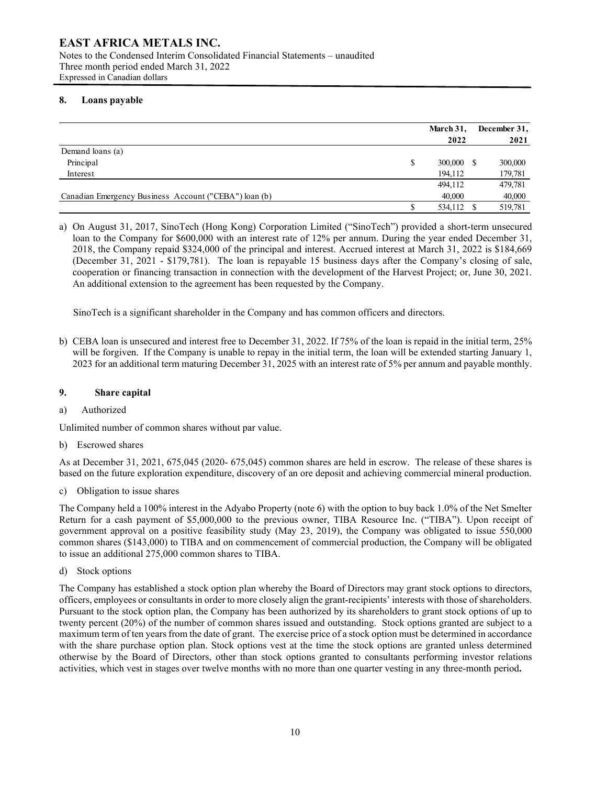## **8. Loans payable**

|                                                       | March 31,<br>2022 | December 31, | 2021   |
|-------------------------------------------------------|-------------------|--------------|--------|
| Demand loans (a)                                      |                   |              |        |
| Principal                                             | \$<br>300,000 S   | 300,000      |        |
| Interest                                              | 194,112           | 179,781      |        |
|                                                       | 494,112           | 479,781      |        |
| Canadian Emergency Business Account ("CEBA") loan (b) | 40,000            |              | 40,000 |
|                                                       | 534,112 \$        | 519,781      |        |

a) On August 31, 2017, SinoTech (Hong Kong) Corporation Limited ("SinoTech") provided a short-term unsecured loan to the Company for \$600,000 with an interest rate of 12% per annum. During the year ended December 31, 2018, the Company repaid \$324,000 of the principal and interest. Accrued interest at March 31, 2022 is \$184,669 (December 31, 2021 - \$179,781). The loan is repayable 15 business days after the Company's closing of sale, cooperation or financing transaction in connection with the development of the Harvest Project; or, June 30, 2021. An additional extension to the agreement has been requested by the Company.

SinoTech is a significant shareholder in the Company and has common officers and directors.

b) CEBA loan is unsecured and interest free to December 31, 2022. If 75% of the loan is repaid in the initial term, 25% will be forgiven. If the Company is unable to repay in the initial term, the loan will be extended starting January 1, 2023 for an additional term maturing December 31, 2025 with an interest rate of 5% per annum and payable monthly.

### **9. Share capital**

a) Authorized

Unlimited number of common shares without par value.

b) Escrowed shares

As at December 31, 2021, 675,045 (2020- 675,045) common shares are held in escrow. The release of these shares is based on the future exploration expenditure, discovery of an ore deposit and achieving commercial mineral production.

c) Obligation to issue shares

The Company held a 100% interest in the Adyabo Property (note 6) with the option to buy back 1.0% of the Net Smelter Return for a cash payment of \$5,000,000 to the previous owner, TIBA Resource Inc. ("TIBA"). Upon receipt of government approval on a positive feasibility study (May 23, 2019), the Company was obligated to issue 550,000 common shares (\$143,000) to TIBA and on commencement of commercial production, the Company will be obligated to issue an additional 275,000 common shares to TIBA.

d) Stock options

The Company has established a stock option plan whereby the Board of Directors may grant stock options to directors, officers, employees or consultants in order to more closely align the grant-recipients' interests with those of shareholders. Pursuant to the stock option plan, the Company has been authorized by its shareholders to grant stock options of up to twenty percent (20%) of the number of common shares issued and outstanding. Stock options granted are subject to a maximum term of ten years from the date of grant. The exercise price of a stock option must be determined in accordance with the share purchase option plan. Stock options vest at the time the stock options are granted unless determined otherwise by the Board of Directors, other than stock options granted to consultants performing investor relations activities, which vest in stages over twelve months with no more than one quarter vesting in any three-month period**.**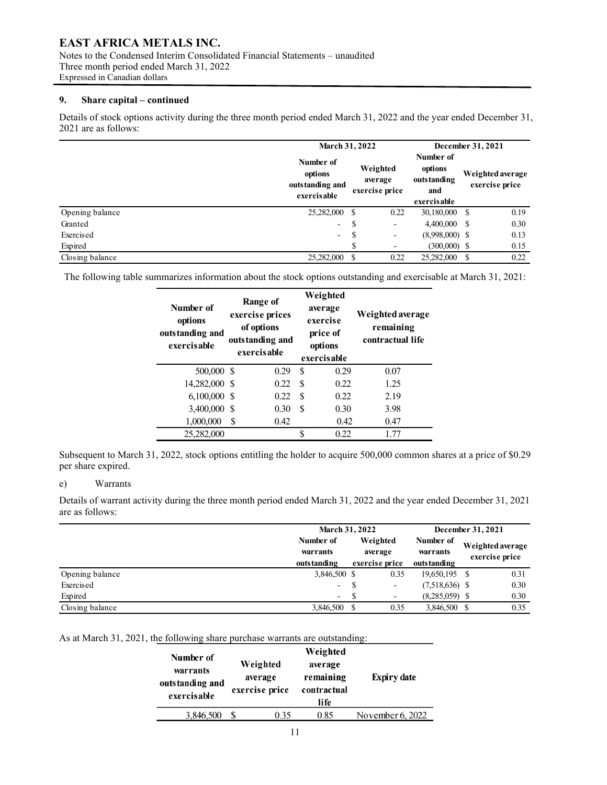Notes to the Condensed Interim Consolidated Financial Statements – unaudited Three month period ended March 31, 2022 Expressed in Canadian dollars

# **9. Share capital – continued**

Details of stock options activity during the three month period ended March 31, 2022 and the year ended December 31, 2021 are as follows:

|                 | March 31, 2022                                         |   |                                       |                                                            | December 31, 2021 |                                    |
|-----------------|--------------------------------------------------------|---|---------------------------------------|------------------------------------------------------------|-------------------|------------------------------------|
|                 | Number of<br>options<br>outstanding and<br>exercisable |   | Weighted<br>average<br>exercise price | Number of<br>options<br>outs tanding<br>and<br>exercisable |                   | Weighted average<br>exercise price |
| Opening balance | 25,282,000 \$                                          |   | 0.22                                  | 30,180,000 \$                                              |                   | 0.19                               |
| Granted         | $\overline{\phantom{a}}$                               | S | ۰                                     | $4,400,000$ \$                                             |                   | 0.30                               |
| Exercised       | $\sim$                                                 | S | $\overline{\phantom{a}}$              | $(8,998,000)$ \$                                           |                   | 0.13                               |
| Expired         |                                                        |   | ۰                                     | $(300,000)$ \$                                             |                   | 0.15                               |
| Closing balance | 25,282,000 \$                                          |   | 0.22                                  | 25,282,000                                                 |                   | 0.22                               |

The following table summarizes information about the stock options outstanding and exercisable at March 31, 2021:

| Number of<br>options<br>outstanding and<br>exercisable |   | Range of<br>exercise prices<br>of options<br>outstanding and<br>exercisable | Weighted<br>average<br>exercise<br>price of<br>options<br>exercisable |      | Weighted average<br>remaining<br>contractual life |
|--------------------------------------------------------|---|-----------------------------------------------------------------------------|-----------------------------------------------------------------------|------|---------------------------------------------------|
| 500,000 \$                                             |   | 0.29                                                                        | \$.                                                                   | 0.29 | 0.07                                              |
| 14,282,000 \$                                          |   | 0.22                                                                        | S                                                                     | 0.22 | 1.25                                              |
| $6,100,000$ \$                                         |   | 0.22                                                                        | S                                                                     | 0.22 | 2.19                                              |
| 3,400,000 \$                                           |   | 0.30                                                                        | \$.                                                                   | 0.30 | 3.98                                              |
| 1,000,000                                              | S | 0.42                                                                        |                                                                       | 0.42 | 0.47                                              |
| 25,282,000                                             |   |                                                                             | ¢                                                                     | 0.22 | 1.77                                              |

Subsequent to March 31, 2022, stock options entitling the holder to acquire 500,000 common shares at a price of \$0.29 per share expired.

#### e) Warrants

Details of warrant activity during the three month period ended March 31, 2022 and the year ended December 31, 2021 are as follows:

|                 |                                      | <b>March 31, 2022</b>                 |                          |                                      |  | December 31, 2021                  |
|-----------------|--------------------------------------|---------------------------------------|--------------------------|--------------------------------------|--|------------------------------------|
|                 | Number of<br>warrants<br>outstanding | Weighted<br>average<br>exercise price |                          | Number of<br>warrants<br>outstanding |  | Weighted average<br>exercise price |
| Opening balance | 3,846,500 \$                         |                                       | 0.35                     | 19,650,195 \$                        |  | 0.31                               |
| Exercised       | ۰                                    |                                       | $\overline{\phantom{a}}$ | $(7,518,636)$ \$                     |  | 0.30                               |
| Expired         | $-$                                  | -S                                    | $\overline{\phantom{a}}$ | $(8,285,059)$ \$                     |  | 0.30                               |
| Closing balance | 3,846,500 \$                         |                                       | 0.35                     | 3,846,500 \$                         |  | 0.35                               |

# As at March 31, 2021, the following share purchase warrants are outstanding:

| Number of<br>warrants<br>outstanding and<br>exercisable | Weighted<br>average<br>exercise price | Weighted<br>average<br>remaining<br>contractual<br>life | <b>Expiry date</b> |
|---------------------------------------------------------|---------------------------------------|---------------------------------------------------------|--------------------|
| 3,846,500                                               | 0.35                                  | 0.85                                                    | November 6, 2022   |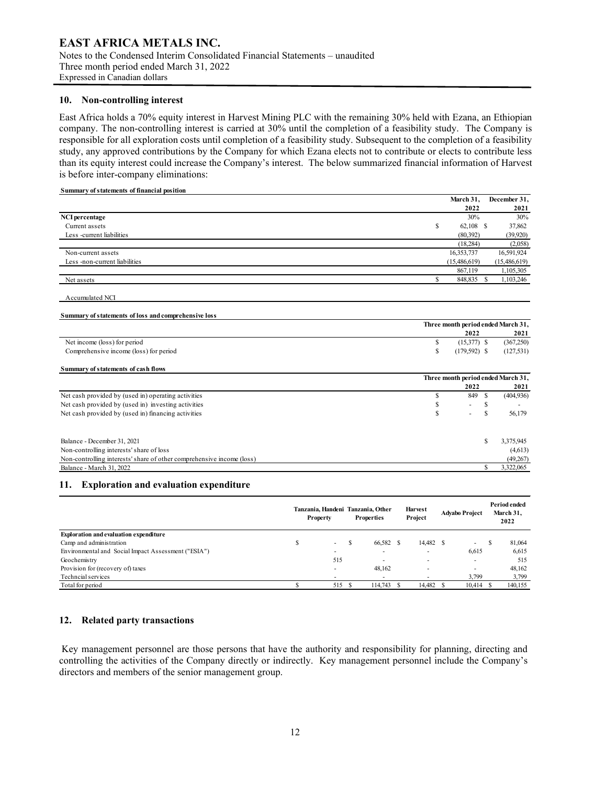# **EAST AFRICA METALS INC.** Notes to the Condensed Interim Consolidated Financial Statements – unaudited

Three month period ended March 31, 2022 Expressed in Canadian dollars

#### **10. Non-controlling interest**

East Africa holds a 70% equity interest in Harvest Mining PLC with the remaining 30% held with Ezana, an Ethiopian company. The non-controlling interest is carried at 30% until the completion of a feasibility study. The Company is responsible for all exploration costs until completion of a feasibility study. Subsequent to the completion of a feasibility study, any approved contributions by the Company for which Ezana elects not to contribute or elects to contribute less than its equity interest could increase the Company's interest. The below summarized financial information of Harvest is before inter-company eliminations:

#### **Summary of statements of financial position**

|                                                                       |    | March 31,                          |    | December 31, |
|-----------------------------------------------------------------------|----|------------------------------------|----|--------------|
|                                                                       |    | 2022                               |    | 2021         |
| NCI percentage                                                        |    | 30%                                |    | 30%          |
| Current assets                                                        | \$ | $62,108$ \$                        |    | 37,862       |
| Less -current liabilities                                             |    | (80, 392)                          |    | (39,920)     |
|                                                                       |    | (18, 284)                          |    | (2,058)      |
| Non-current assets                                                    |    | 16,353,737                         |    | 16,591,924   |
| Less -non-current liabilities                                         |    | (15,486,619)                       |    | (15,486,619) |
|                                                                       |    | 867,119                            |    | 1,105,305    |
| Net assets                                                            | S. | 848,835 \$                         |    | 1,103,246    |
| Accumulated NCI                                                       |    |                                    |    |              |
| Summary of statements of loss and comprehensive loss                  |    |                                    |    |              |
|                                                                       |    | Three month period ended March 31, |    |              |
|                                                                       |    | 2022                               |    | 2021         |
| Net income (loss) for period                                          | \$ | $(15,377)$ \$                      |    | (367,250)    |
| Comprehensive income (loss) for period                                | \$ | $(179, 592)$ \$                    |    | (127, 531)   |
| Summary of statements of cash flows                                   |    |                                    |    |              |
|                                                                       |    | Three month period ended March 31, |    |              |
|                                                                       |    | 2022                               |    | 2021         |
| Net cash provided by (used in) operating activities                   | \$ | 849 \$                             |    | (404, 936)   |
| Net cash provided by (used in) investing activities                   | \$ |                                    | \$ |              |
| Net cash provided by (used in) financing activities                   | S  |                                    | S  | 56,179       |
|                                                                       |    |                                    |    |              |
| Balance - December 31, 2021                                           |    |                                    | S  | 3,375,945    |
| Non-controlling interests' share of loss                              |    |                                    |    | (4,613)      |
| Non-controlling interests' share of other comprehensive income (loss) |    |                                    |    | (49, 267)    |
| Balance - March 31, 2022                                              |    |                                    | S  | 3,322,065    |

#### **11. Exploration and evaluation expenditure**

|                                                     | Tanzania, Handeni Tanzania, Other<br><b>Property</b> |   | <b>Properties</b> | <b>Harvest</b><br>Project | <b>Advabo Project</b> |   | Period ended<br>March 31.<br>2022 |
|-----------------------------------------------------|------------------------------------------------------|---|-------------------|---------------------------|-----------------------|---|-----------------------------------|
| <b>Exploration and evaluation expenditure</b>       |                                                      |   |                   |                           |                       |   |                                   |
| Camp and administration                             | $\sim$                                               | S | 66,582 \$         | 14,482 \$                 | ۰.                    | S | 81,064                            |
| Environmental and Social Impact Assessment ("ESIA") |                                                      |   |                   | $\overline{\phantom{a}}$  | 6,615                 |   | 6,615                             |
| Geochemistry                                        | 515                                                  |   |                   | $\overline{\phantom{a}}$  | ۰                     |   | 515                               |
| Provision for (recovery of) taxes                   | $\overline{\phantom{a}}$                             |   | 48.162            | $\overline{\phantom{a}}$  | ۰                     |   | 48,162                            |
| Techncial services                                  |                                                      |   |                   |                           | 3.799                 |   | 3,799                             |
| Total for period                                    | 515                                                  |   | 114,743           | 14.482                    | 10.414                |   | 140,155                           |

# **12. Related party transactions**

Key management personnel are those persons that have the authority and responsibility for planning, directing and controlling the activities of the Company directly or indirectly. Key management personnel include the Company's directors and members of the senior management group.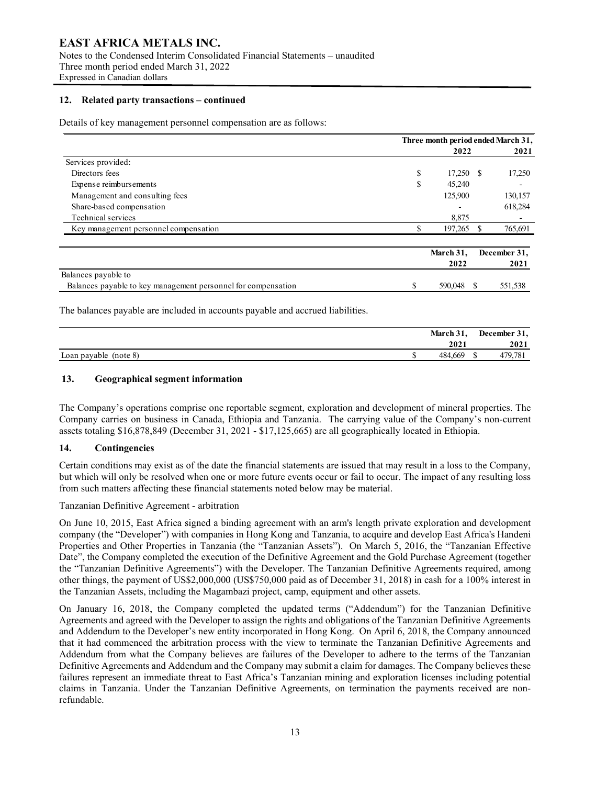Notes to the Condensed Interim Consolidated Financial Statements – unaudited Three month period ended March 31, 2022 Expressed in Canadian dollars

#### **12. Related party transactions – continued**

Details of key management personnel compensation are as follows:

|                                                               | Three month period ended March 31, |           |   |              |
|---------------------------------------------------------------|------------------------------------|-----------|---|--------------|
|                                                               |                                    | 2022      |   | 2021         |
| Services provided:                                            |                                    |           |   |              |
| Directors fees                                                | \$                                 | 17,250 \$ |   | 17,250       |
| Expense reimbursements                                        | \$                                 | 45,240    |   | -            |
| Management and consulting fees                                |                                    | 125,900   |   | 130,157      |
| Share-based compensation                                      |                                    |           |   | 618,284      |
| Technical services                                            |                                    | 8,875     |   |              |
| Key management personnel compensation                         | S                                  | 197,265   | S | 765,691      |
|                                                               |                                    | March 31, |   | December 31, |
|                                                               |                                    | 2022      |   | 2021         |
| Balances payable to                                           |                                    |           |   |              |
| Balances payable to key management personnel for compensation | \$                                 | 590,048   |   | 551,538      |

The balances payable are included in accounts payable and accrued liabilities.

|                       | March 31, | December 31, |  |  |
|-----------------------|-----------|--------------|--|--|
|                       | 2021      | 2021         |  |  |
| Loan payable (note 8) | 484,669   | 179,781      |  |  |

# **13. Geographical segment information**

The Company's operations comprise one reportable segment, exploration and development of mineral properties. The Company carries on business in Canada, Ethiopia and Tanzania. The carrying value of the Company's non-current assets totaling \$16,878,849 (December 31, 2021 - \$17,125,665) are all geographically located in Ethiopia.

## **14. Contingencies**

Certain conditions may exist as of the date the financial statements are issued that may result in a loss to the Company, but which will only be resolved when one or more future events occur or fail to occur. The impact of any resulting loss from such matters affecting these financial statements noted below may be material.

Tanzanian Definitive Agreement - arbitration

On June 10, 2015, East Africa signed a binding agreement with an arm's length private exploration and development company (the "Developer") with companies in Hong Kong and Tanzania, to acquire and develop East Africa's Handeni Properties and Other Properties in Tanzania (the "Tanzanian Assets"). On March 5, 2016, the "Tanzanian Effective Date", the Company completed the execution of the Definitive Agreement and the Gold Purchase Agreement (together the "Tanzanian Definitive Agreements") with the Developer. The Tanzanian Definitive Agreements required, among other things, the payment of US\$2,000,000 (US\$750,000 paid as of December 31, 2018) in cash for a 100% interest in the Tanzanian Assets, including the Magambazi project, camp, equipment and other assets.

On January 16, 2018, the Company completed the updated terms ("Addendum") for the Tanzanian Definitive Agreements and agreed with the Developer to assign the rights and obligations of the Tanzanian Definitive Agreements and Addendum to the Developer's new entity incorporated in Hong Kong. On April 6, 2018, the Company announced that it had commenced the arbitration process with the view to terminate the Tanzanian Definitive Agreements and Addendum from what the Company believes are failures of the Developer to adhere to the terms of the Tanzanian Definitive Agreements and Addendum and the Company may submit a claim for damages. The Company believes these failures represent an immediate threat to East Africa's Tanzanian mining and exploration licenses including potential claims in Tanzania. Under the Tanzanian Definitive Agreements, on termination the payments received are nonrefundable.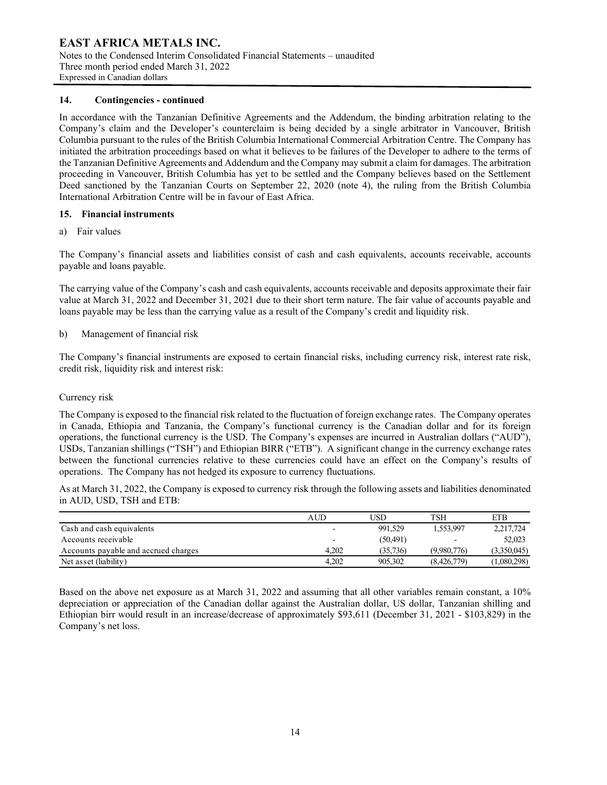### **EAST AFRICA METALS INC.** Notes to the Condensed Interim Consolidated Financial Statements – unaudited Three month period ended March 31, 2022 Expressed in Canadian dollars

# **14. Contingencies - continued**

In accordance with the Tanzanian Definitive Agreements and the Addendum, the binding arbitration relating to the Company's claim and the Developer's counterclaim is being decided by a single arbitrator in Vancouver, British Columbia pursuant to the rules of the British Columbia International Commercial Arbitration Centre. The Company has initiated the arbitration proceedings based on what it believes to be failures of the Developer to adhere to the terms of the Tanzanian Definitive Agreements and Addendum and the Company may submit a claim for damages. The arbitration proceeding in Vancouver, British Columbia has yet to be settled and the Company believes based on the Settlement Deed sanctioned by the Tanzanian Courts on September 22, 2020 (note 4), the ruling from the British Columbia International Arbitration Centre will be in favour of East Africa.

## **15. Financial instruments**

a) Fair values

The Company's financial assets and liabilities consist of cash and cash equivalents, accounts receivable, accounts payable and loans payable.

The carrying value of the Company's cash and cash equivalents, accounts receivable and deposits approximate their fair value at March 31, 2022 and December 31, 2021 due to their short term nature. The fair value of accounts payable and loans payable may be less than the carrying value as a result of the Company's credit and liquidity risk.

## b) Management of financial risk

The Company's financial instruments are exposed to certain financial risks, including currency risk, interest rate risk, credit risk, liquidity risk and interest risk:

#### Currency risk

The Company is exposed to the financial risk related to the fluctuation of foreign exchange rates. The Company operates in Canada, Ethiopia and Tanzania, the Company's functional currency is the Canadian dollar and for its foreign operations, the functional currency is the USD. The Company's expenses are incurred in Australian dollars ("AUD"), USDs, Tanzanian shillings ("TSH") and Ethiopian BIRR ("ETB"). A significant change in the currency exchange rates between the functional currencies relative to these currencies could have an effect on the Company's results of operations. The Company has not hedged its exposure to currency fluctuations.

As at March 31, 2022, the Company is exposed to currency risk through the following assets and liabilities denominated in AUD, USD, TSH and ETB:

|                                      | AUD                      | USD       | TSH         | <b>ETB</b>  |
|--------------------------------------|--------------------------|-----------|-------------|-------------|
| Cash and cash equivalents            | $\overline{\phantom{0}}$ | 991.529   | 1.553.997   | 2,217,724   |
| Accounts receivable                  | $\overline{\phantom{0}}$ | (50, 491) |             | 52,023      |
| Accounts payable and accrued charges | 4.202                    | (35.736)  | (9.980.776) | (3,350,045) |
| Net asset (liability)                | 4.202                    | 905,302   | (8,426,779) | (1,080,298) |

Based on the above net exposure as at March 31, 2022 and assuming that all other variables remain constant, a 10% depreciation or appreciation of the Canadian dollar against the Australian dollar, US dollar, Tanzanian shilling and Ethiopian birr would result in an increase/decrease of approximately \$93,611 (December 31, 2021 - \$103,829) in the Company's net loss.